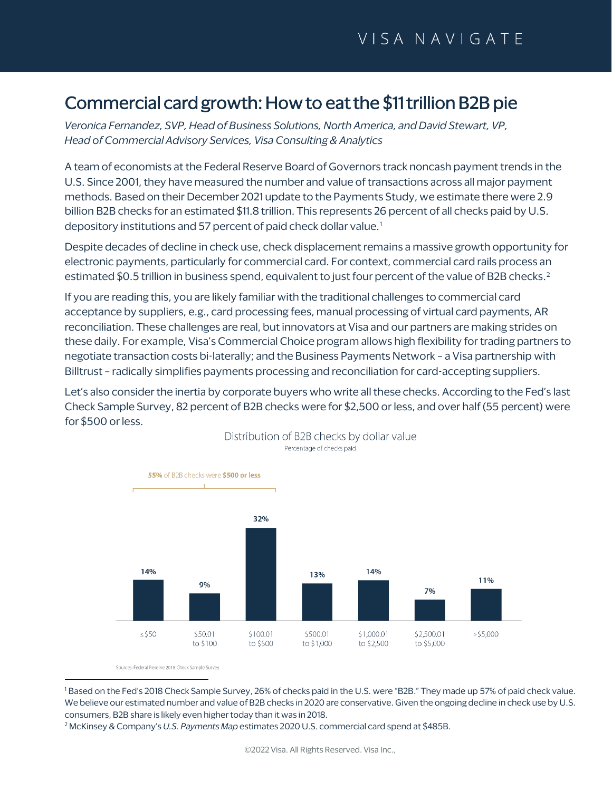# Commercial card growth: How to eat the \$11 trillion B2B pie

*Veronica Fernandez, SVP, Head of Business Solutions, North America, and David Stewart, VP, Head of Commercial Advisory Services, Visa Consulting & Analytics* 

A team of economists at the Federal Reserve Board of Governors track noncash payment trends in the U.S. Since 2001, they have measured the number and value of transactions across all major payment methods. Based on their December 2021 update to the Payments Study, we estimate there were 2.9 billion B2B checks for an estimated \$11.8 trillion. This represents 26 percent of all checks paid by U.S. depository institutions and 57 percent of paid check dollar value.<sup>[1](#page-0-0)</sup>

Despite decades of decline in check use, check displacement remains a massive growth opportunity for electronic payments, particularly for commercial card. For context, commercial card rails process an estimated \$0.5 trillion in business spend, equivalent to just four percent of the value of B[2](#page-0-1)B checks.<sup>2</sup>

If you are reading this, you are likely familiar with the traditional challenges to commercial card acceptance by suppliers, e.g., card processing fees, manual processing of virtual card payments, AR reconciliation. These challenges are real, but innovators at Visa and our partners are making strides on these daily. For example, Visa's Commercial Choice program allows high flexibility for trading partners to negotiate transaction costs bi-laterally; and the Business Payments Network – a Visa partnership with Billtrust – radically simplifies payments processing and reconciliation for card-accepting suppliers.

Let's also consider the inertia by corporate buyers who write all these checks. According to the Fed's last Check Sample Survey, 82 percent of B2B checks were for \$2,500 or less, and over half (55 percent) were for \$500 or less.



Distribution of B2B checks by dollar value Percentage of checks paid

Sources: Federal Reserve 2018 Check Sample Survey

<span id="page-0-0"></span><sup>1</sup> Based on the Fed's 2018 Check Sample Survey, 26% of checks paid in the U.S. were "B2B." They made up 57% of paid check value. We believe our estimated number and value of B2B checks in 2020 are conservative. Given the ongoing decline in check use by U.S. consumers, B2B share is likely even higher today than it was in 2018.

<span id="page-0-1"></span><sup>2</sup> McKinsey & Company's *U.S. Payments Map* estimates 2020 U.S. commercial card spend at \$485B.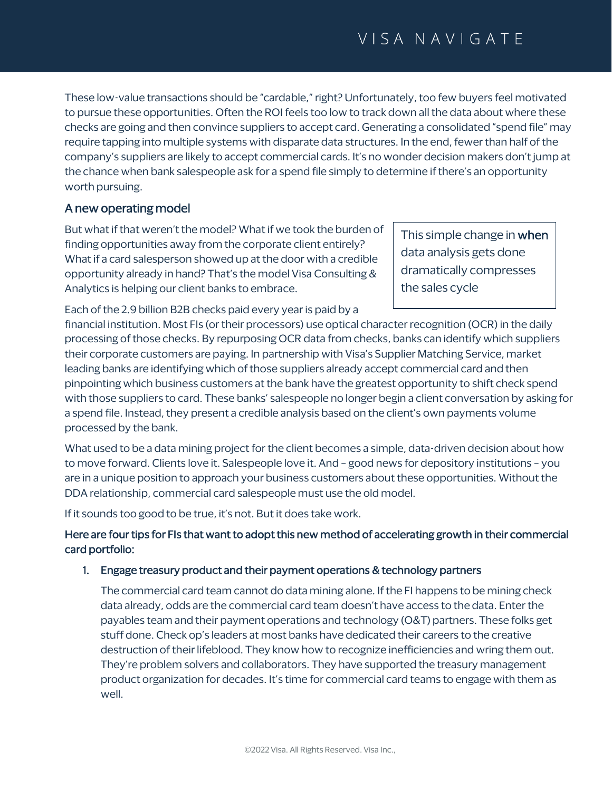These low-value transactions should be "cardable," right? Unfortunately, too few buyers feel motivated to pursue these opportunities. Often the ROI feels too low to track down all the data about where these checks are going and then convince suppliers to accept card. Generating a consolidated "spend file" may require tapping into multiple systems with disparate data structures. In the end, fewer than half of the company's suppliers are likely to accept commercial cards. It's no wonder decision makers don't jump at the chance when bank salespeople ask for a spend file simply to determine if there's an opportunity worth pursuing.

## A new operating model

But what if that weren't the model? What if we took the burden of finding opportunities away from the corporate client entirely? What if a card salesperson showed up at the door with a credible opportunity already in hand? That's the model Visa Consulting & Analytics is helping our client banks to embrace.

Each of the 2.9 billion B2B checks paid every year is paid by a

This simple change in when data analysis gets done dramatically compresses the sales cycle

financial institution. Most FIs (or their processors) use optical character recognition (OCR) in the daily processing of those checks. By repurposing OCR data from checks, banks can identify which suppliers their corporate customers are paying. In partnership with Visa's Supplier Matching Service, market leading banks are identifying which of those suppliers already accept commercial card and then pinpointing which business customers at the bank have the greatest opportunity to shift check spend with those suppliers to card. These banks' salespeople no longer begin a client conversation by asking for a spend file. Instead, they present a credible analysis based on the client's own payments volume processed by the bank.

What used to be a data mining project for the client becomes a simple, data-driven decision about how to move forward. Clients love it. Salespeople love it. And – good news for depository institutions – you are in a unique position to approach your business customers about these opportunities. Without the DDA relationship, commercial card salespeople must use the old model.

If it sounds too good to be true, it's not. But it does take work.

## Here are four tips for FIs that want to adopt this new method of accelerating growth in their commercial card portfolio:

### 1. Engage treasury product and their payment operations & technology partners

The commercial card team cannot do data mining alone. If the FI happens to be mining check data already, odds are the commercial card team doesn't have access to the data. Enter the payables team and their payment operations and technology (O&T) partners. These folks get stuff done. Check op's leaders at most banks have dedicated their careers to the creative destruction of their lifeblood. They know how to recognize inefficiencies and wring them out. They're problem solvers and collaborators. They have supported the treasury management product organization for decades. It's time for commercial card teams to engage with them as well.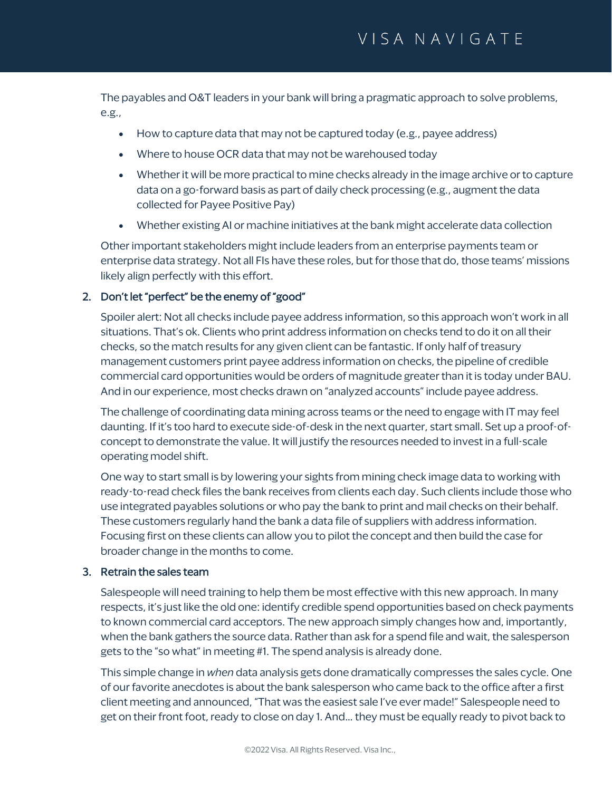The payables and O&T leaders in your bank will bring a pragmatic approach to solve problems, e.g.,

- How to capture data that may not be captured today (e.g., payee address)
- Where to house OCR data that may not be warehoused today
- Whether it will be more practical to mine checks already in the image archive or to capture data on a go-forward basis as part of daily check processing (e.g., augment the data collected for Payee Positive Pay)
- Whether existing AI or machine initiatives at the bank might accelerate data collection

Other important stakeholders might include leaders from an enterprise payments team or enterprise data strategy. Not all FIs have these roles, but for those that do, those teams' missions likely align perfectly with this effort.

### 2. Don't let "perfect" be the enemy of "good"

Spoiler alert: Not all checks include payee address information, so this approach won't work in all situations. That's ok. Clients who print address information on checks tend to do it on all their checks, so the match results for any given client can be fantastic. If only half of treasury management customers print payee address information on checks, the pipeline of credible commercial card opportunities would be orders of magnitude greater than it is today under BAU. And in our experience, most checks drawn on "analyzed accounts" include payee address.

The challenge of coordinating data mining across teams or the need to engage with IT may feel daunting. If it's too hard to execute side-of-desk in the next quarter, start small. Set up a proof-ofconcept to demonstrate the value. It will justify the resources needed to invest in a full-scale operating model shift.

One way to start small is by lowering your sights from mining check image data to working with ready-to-read check files the bank receives from clients each day. Such clients include those who use integrated payables solutions or who pay the bank to print and mail checks on their behalf. These customers regularly hand the bank a data file of suppliers with address information. Focusing first on these clients can allow you to pilot the concept and then build the case for broader change in the months to come.

#### 3. Retrain the sales team

Salespeople will need training to help them be most effective with this new approach. In many respects, it's just like the old one: identify credible spend opportunities based on check payments to known commercial card acceptors. The new approach simply changes how and, importantly, when the bank gathers the source data. Rather than ask for a spend file and wait, the salesperson gets to the "so what" in meeting #1. The spend analysis is already done.

This simple change in *when* data analysis gets done dramatically compresses the sales cycle. One of our favorite anecdotes is about the bank salesperson who came back to the office after a first client meeting and announced, "That was the easiest sale I've ever made!" Salespeople need to get on their front foot, ready to close on day 1. And… they must be equally ready to pivot back to